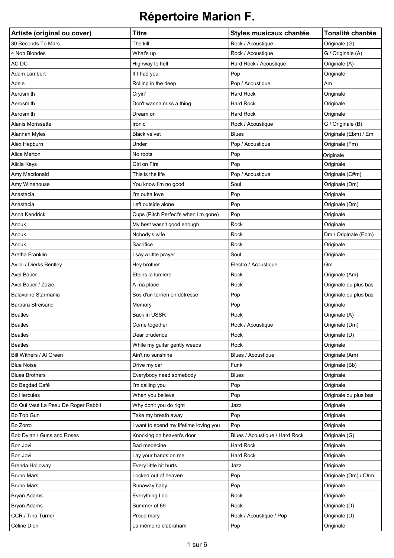| Artiste (original ou cover)         | <b>Titre</b>                           | Styles musicaux chantés        | Tonalité chantée      |
|-------------------------------------|----------------------------------------|--------------------------------|-----------------------|
| 30 Seconds To Mars                  | The kill                               | Rock / Acoustique              | Originale (G)         |
| 4 Non Blondes                       | What's up                              | Rock / Acoustique              | G / Originale (A)     |
| AC DC                               | Highway to hell                        | Hard Rock / Acoustique         | Originale (A)         |
| Adam Lambert                        | If I had you                           | Pop                            | Originale             |
| Adele                               | Rolling in the deep                    | Pop / Acoustique               | Am                    |
| Aerosmith                           | Cryin'                                 | <b>Hard Rock</b>               | Originale             |
| Aerosmith                           | Don't wanna miss a thing               | <b>Hard Rock</b>               | Originale             |
| Aerosmith                           | Dream on                               | <b>Hard Rock</b>               | Originale             |
| Alanis Morissette                   | Ironic                                 | Rock / Acoustique              | G / Originale (B)     |
| Alannah Myles                       | <b>Black velvet</b>                    | <b>Blues</b>                   | Originale (Ebm) / Em  |
| Alex Hepburn                        | Under                                  | Pop / Acoustique               | Originale (Fm)        |
| Alice Merton                        | No roots                               | Pop                            | Originale             |
| Alicia Keys                         | Girl on Fire                           | Pop                            | Originale             |
| Amy Macdonald                       | This is the life                       | Pop / Acoustique               | Originale (C#m)       |
| Amy Winehouse                       | You know I'm no good                   | Soul                           | Originale (Dm)        |
| Anastacia                           | I'm outta love                         | Pop                            | Originale             |
| Anastacia                           | Left outside alone                     | Pop                            | Originale (Dm)        |
| Anna Kendrick                       | Cups (Pitch Perfect's when I'm gone)   | Pop                            | Originale             |
| Anouk                               | My best wasn't good enough             | Rock                           | Originale             |
| Anouk                               | Nobody's wife                          | Rock                           | Dm / Originale (Ebm)  |
| Anouk                               | Sacrifice                              | Rock                           | Originale             |
| Aretha Franklin                     | I say a little prayer                  | Soul                           | Originale             |
| Avicii / Dierks Bentley             | Hey brother                            | Electro / Acoustique           | Gm                    |
| Axel Bauer                          | Eteins la lumière                      | Rock                           | Originale (Am)        |
| Axel Bauer / Zazie                  | A ma place                             | Rock                           | Originale ou plus bas |
| <b>Balavoine Starmania</b>          | Sos d'un terrien en détresse           | Pop                            | Originale ou plus bas |
| <b>Barbara Streisand</b>            | Memory                                 | Pop                            | Originale             |
| <b>Beatles</b>                      | Back in USSR                           | Rock                           | Originale (A)         |
| <b>Beatles</b>                      | Come together                          | Rock / Acoustique              | Originale (Dm)        |
| <b>Beatles</b>                      | Dear prudence                          | Rock                           | Originale (D)         |
| <b>Beatles</b>                      | While my guitar gently weeps           | Rock                           | Originale             |
| Bill Withers / Al Green             | Ain't no sunshine                      | Blues / Acoustique             | Originale (Am)        |
| <b>Blue Noise</b>                   | Drive my car                           | Funk                           | Originale (Bb)        |
| <b>Blues Brothers</b>               | Everybody need somebody                | <b>Blues</b>                   | Originale             |
| Bo Bagdad Café                      | I'm calling you                        | Pop                            | Originale             |
| <b>Bo Hercules</b>                  | When you believe                       | Pop                            | Originale ou plus bas |
| Bo Qui Veut La Peau De Roger Rabbit | Why don't you do right                 | Jazz                           | Originale             |
| Bo Top Gun                          | Take my breath away                    | Pop                            | Originale             |
| Bo Zorro                            | I want to spend my lifetime loving you | Pop                            | Originale             |
| Bob Dylan / Guns and Roses          | Knocking on heaven's door              | Blues / Acoustique / Hard Rock | Originale (G)         |
| Bon Jovi                            | Bad medecine                           | Hard Rock                      | Originale             |
| Bon Jovi                            | Lay your hands on me                   | <b>Hard Rock</b>               | Originale             |
| Brenda Holloway                     | Every little bit hurts                 | Jazz                           | Originale             |
| <b>Bruno Mars</b>                   | Locked out of heaven                   | Pop                            | Originale (Dm) / C#m  |
| <b>Bruno Mars</b>                   | Runaway baby                           | Pop                            | Originale             |
| Bryan Adams                         | Everything I do                        | Rock                           | Originale             |
| Bryan Adams                         | Summer of 69                           | Rock                           | Originale (D)         |
| CCR / Tina Turner                   | Proud mary                             | Rock / Acoustique / Pop        | Originale (D)         |
| Céline Dion                         | La mémoire d'abraham                   | Pop                            | Originale             |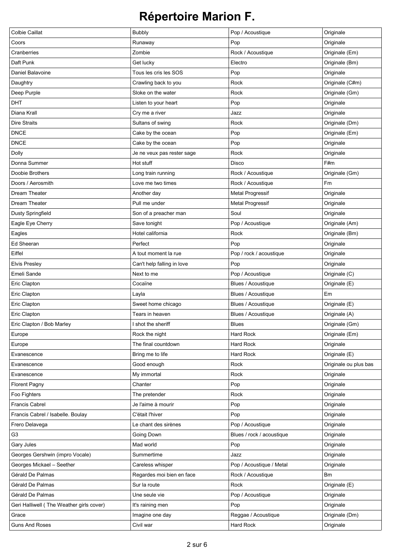| <b>Colbie Caillat</b>                    | <b>Bubbly</b>              | Pop / Acoustique          | Originale             |
|------------------------------------------|----------------------------|---------------------------|-----------------------|
| Coors                                    | Runaway                    | Pop                       | Originale             |
| Cranberries                              | Zombie                     | Rock / Acoustique         | Originale (Em)        |
| Daft Punk                                | Get lucky                  | Electro                   | Originale (Bm)        |
| Daniel Balavoine                         | Tous les cris les SOS      | Pop                       | Originale             |
| Daughtry                                 | Crawling back to you       | Rock                      | Originale (C#m)       |
| Deep Purple                              | Sloke on the water         | Rock                      | Originale (Gm)        |
| <b>DHT</b>                               | Listen to your heart       | Pop                       | Originale             |
| Diana Krall                              | Cry me a river             | Jazz                      | Originale             |
| <b>Dire Straits</b>                      | Sultans of swing           | Rock                      | Originale (Dm)        |
| <b>DNCE</b>                              | Cake by the ocean          | Pop                       | Originale (Em)        |
| <b>DNCE</b>                              | Cake by the ocean          | Pop                       | Originale             |
| <b>Dolly</b>                             | Je ne veux pas rester sage | Rock                      | Originale             |
| Donna Summer                             | Hot stuff                  | Disco                     | F#m                   |
| Doobie Brothers                          | Long train running         | Rock / Acoustique         | Originale (Gm)        |
| Doors / Aerosmith                        | Love me two times          | Rock / Acoustique         | Fm                    |
| Dream Theater                            | Another day                | <b>Metal Progressif</b>   | Originale             |
| Dream Theater                            | Pull me under              | <b>Metal Progressif</b>   | Originale             |
| <b>Dusty Springfield</b>                 | Son of a preacher man      | Soul                      | Originale             |
| Eagle Eye Cherry                         | Save tonight               | Pop / Acoustique          | Originale (Am)        |
| Eagles                                   | Hotel california           | Rock                      | Originale (Bm)        |
| Ed Sheeran                               | Perfect                    | Pop                       | Originale             |
| Eiffel                                   | A tout moment la rue       | Pop / rock / acoustique   | Originale             |
| <b>Elvis Presley</b>                     | Can't help falling in love | Pop                       | Originale             |
| Emeli Sande                              | Next to me                 | Pop / Acoustique          | Originale (C)         |
| Eric Clapton                             | Cocaïne                    | Blues / Acoustique        | Originale (E)         |
| Eric Clapton                             | Layla                      | Blues / Acoustique        | Em                    |
| Eric Clapton                             | Sweet home chicago         | Blues / Acoustique        | Originale (E)         |
| Eric Clapton                             | Tears in heaven            | Blues / Acoustique        | Originale (A)         |
| Eric Clapton / Bob Marley                | shot the sheriff           | <b>Blues</b>              | Originale (Gm)        |
| Europe                                   | Rock the night             | Hard Rock                 | Originale (Em)        |
| Europe                                   | The final countdown        | Hard Rock                 | Originale             |
| Evanescence                              | Bring me to life           | Hard Rock                 | Originale (E)         |
| Evanescence                              | Good enough                | Rock                      | Originale ou plus bas |
| Evanescence                              | My immortal                | Rock                      | Originale             |
| <b>Florent Pagny</b>                     | Chanter                    | Pop                       | Originale             |
| Foo Fighters                             | The pretender              | Rock                      | Originale             |
| <b>Francis Cabrel</b>                    | Je l'aime à mourir         | Pop                       | Originale             |
| Francis Cabrel / Isabelle. Boulay        | C'était l'hiver            | Pop                       | Originale             |
| Frero Delavega                           | Le chant des sirènes       | Pop / Acoustique          | Originale             |
| G <sub>3</sub>                           | Going Down                 | Blues / rock / acoustique | Originale             |
| Gary Jules                               | Mad world                  | Pop                       | Originale             |
| Georges Gershwin (impro Vocale)          | Summertime                 | Jazz                      | Originale             |
| Georges Mickael - Seether                | Careless whisper           | Pop / Acoustique / Metal  | Originale             |
| Gérald De Palmas                         | Regardes moi bien en face  | Rock / Acoustique         | <b>Bm</b>             |
| Gérald De Palmas                         | Sur la route               | Rock                      | Originale (E)         |
| Gérald De Palmas                         | Une seule vie              | Pop / Acoustique          | Originale             |
| Geri Halliwell (The Weather girls cover) | It's raining men           | Pop                       | Originale             |
| Grace                                    | Imagine one day            | Reggae / Acoustique       | Originale (Dm)        |
| <b>Guns And Roses</b>                    | Civil war                  | Hard Rock                 | Originale             |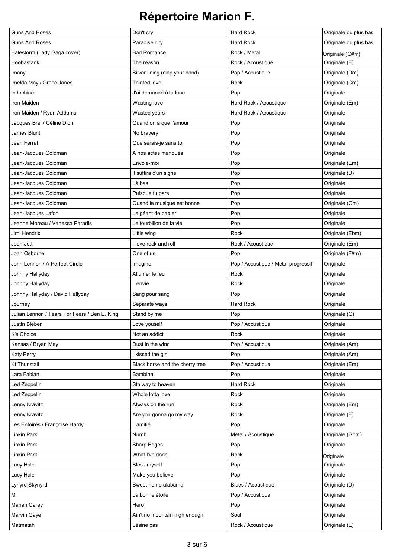| <b>Guns And Roses</b>                         | Don't cry                       | <b>Hard Rock</b>                    | Originale ou plus bas |
|-----------------------------------------------|---------------------------------|-------------------------------------|-----------------------|
| <b>Guns And Roses</b>                         | Paradise city                   | <b>Hard Rock</b>                    | Originale ou plus bas |
| Halestorm (Lady Gaga cover)                   | <b>Bad Romance</b>              | Rock / Metal                        | Originale (G#m)       |
| Hoobastank                                    | The reason                      | Rock / Acoustique                   | Originale (E)         |
| Imany                                         | Silver lining (clap your hand)  | Pop / Acoustique                    | Originale (Dm)        |
| Imelda May / Grace Jones                      | <b>Tainted love</b>             | Rock                                | Originale (Cm)        |
| Indochine                                     | J'ai demandé à la lune          | Pop                                 | Originale             |
| Iron Maiden                                   | <b>Wasting love</b>             | Hard Rock / Acoustique              | Originale (Em)        |
| Iron Maiden / Ryan Addams                     | Wasted years                    | Hard Rock / Acoustique              | Originale             |
| Jacques Brel / Céline Dion                    | Quand on a que l'amour          | Pop                                 | Originale             |
| James Blunt                                   | No bravery                      | Pop                                 | Originale             |
| Jean Ferrat                                   | Que serais-je sans toi          | Pop                                 | Originale             |
| Jean-Jacques Goldman                          | A nos actes manqués             | Pop                                 | Originale             |
| Jean-Jacques Goldman                          | Envole-moi                      | Pop                                 | Originale (Em)        |
| Jean-Jacques Goldman                          | Il suffira d'un signe           | Pop                                 | Originale (D)         |
| Jean-Jacques Goldman                          | Là bas                          | Pop                                 | Originale             |
| Jean-Jacques Goldman                          | Puisque tu pars                 | Pop                                 | Originale             |
| Jean-Jacques Goldman                          | Quand la musique est bonne      | Pop                                 | Originale (Gm)        |
| Jean-Jacques Lafon                            | Le géant de papier              | Pop                                 | Originale             |
| Jeanne Moreau / Vanessa Paradis               | Le tourbillon de la vie         | Pop                                 | Originale             |
| Jimi Hendrix                                  | Little wing                     | Rock                                | Originale (Ebm)       |
| Joan Jett                                     | I love rock and roll            | Rock / Acoustique                   | Originale (Em)        |
| Joan Osborne                                  | One of us                       | Pop                                 | Originale (F#m)       |
| John Lennon / A Perfect Circle                | Imagine                         | Pop / Acoustique / Metal progressif | Originale             |
| Johnny Hallyday                               | Allumer le feu                  | Rock                                | Originale             |
| Johnny Hallyday                               | L'envie                         | Rock                                | Originale             |
| Johnny Hallyday / David Hallyday              | Sang pour sang                  | Pop                                 | Originale             |
| Journey                                       | Separate ways                   | Hard Rock                           | Originale             |
| Julian Lennon / Tears For Fears / Ben E. King | Stand by me                     | Pop                                 | Originale (G)         |
| Justin Bieber                                 | Love youself                    | Pop / Acoustique                    | Originale             |
| K's Choice                                    | Not an addict                   | Rock                                | Originale             |
| Kansas / Bryan May                            | Dust in the wind                | Pop / Acoustique                    | Originale (Am)        |
| <b>Katy Perry</b>                             | I kissed the girl               | Pop                                 | Originale (Am)        |
| <b>Kt Thunstall</b>                           | Black horse and the cherry tree | Pop / Acoustique                    | Originale (Em)        |
| Lara Fabian                                   | Bambina                         | Pop                                 | Originale             |
| Led Zeppelin                                  | Staiway to heaven               | Hard Rock                           | Originale             |
| Led Zeppelin                                  | Whole lotta love                | Rock                                | Originale             |
| Lenny Kravitz                                 | Always on the run               | Rock                                | Originale (Em)        |
| Lenny Kravitz                                 | Are you gonna go my way         | Rock                                | Originale (E)         |
| Les Enfoirés / Françoise Hardy                | L'amitié                        | Pop                                 | Originale             |
| Linkin Park                                   | Numb                            | Metal / Acoustique                  | Originale (Gbm)       |
| Linkin Park                                   | Sharp Edges                     | Pop                                 | Originale             |
| Linkin Park                                   | What I've done                  | Rock                                | Originale             |
| Lucy Hale                                     | Bless myself                    | Pop                                 | Originale             |
| Lucy Hale                                     | Make you believe                | Pop                                 | Originale             |
| Lynyrd Skynyrd                                | Sweet home alabama              | Blues / Acoustique                  | Originale (D)         |
| М                                             | La bonne étoile                 | Pop / Acoustique                    | Originale             |
| Mariah Carey                                  | Hero                            | Pop                                 | Originale             |
| Marvin Gaye                                   | Ain't no mountain high enough   | Soul                                | Originale             |
| Matmatah                                      | Lésine pas                      | Rock / Acoustique                   | Originale (E)         |
|                                               |                                 |                                     |                       |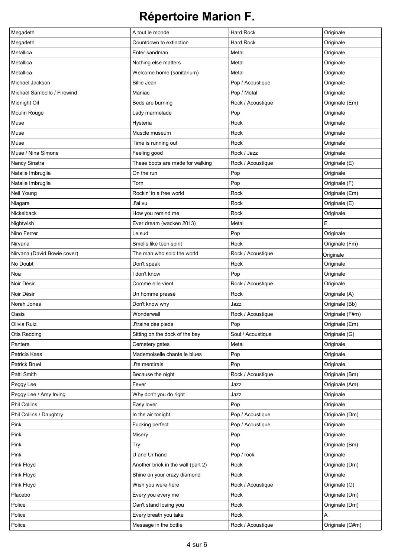| Megadeth                    | A tout le monde                    | <b>Hard Rock</b>  | Originale       |
|-----------------------------|------------------------------------|-------------------|-----------------|
| Megadeth                    | Countdown to extinction            | <b>Hard Rock</b>  | Originale       |
| Metallica                   | Enter sandman                      | Metal             | Originale       |
| Metallica                   | Nothing else matters               | Metal             | Originale       |
| Metallica                   | Welcome home (sanitarium)          | Metal             | Originale       |
| Michael Jackson             | <b>Billie Jean</b>                 | Pop / Acoustique  | Originale       |
| Michael Sambello / Firewind | Maniac                             | Pop / Metal       | Originale       |
| Midnight Oil                | Beds are burning                   | Rock / Acoustique | Originale (Em)  |
| Moulin Rouge                | Lady marmelade                     | Pop               | Originale       |
| Muse                        | Hysteria                           | Rock              | Originale       |
| Muse                        | Muscle museum                      | Rock              | Originale       |
| Muse                        | Time is running out                | Rock              | Originale       |
| Muse / Nina Simone          | Feeling good                       | Rock / Jazz       | Originale       |
| Nancy Sinatra               | These boots are made for walking   | Rock / Acoustique | Originale (E)   |
| Natalie Imbruglia           | On the run                         | Pop               | Originale       |
| Natalie Imbruglia           | Torn                               | Pop               | Originale (F)   |
| Neil Young                  | Rockin' in a free world            | Rock              | Originale (Em)  |
| Niagara                     | J'ai vu                            | Rock              | Originale (E)   |
| Nickelback                  | How you remind me                  | Rock              | Originale       |
| Nightwish                   | Ever dream (wacken 2013)           | Metal             | Е               |
| Nino Ferrer                 | Le sud                             | Pop               | Originale       |
| Nirvana                     | Smells like teen spirit            | Rock              | Originale (Fm)  |
| Nirvana (David Bowie cover) | The man who sold the world         | Rock / Acoustique | Originale       |
| No Doubt                    | Don't speak                        | Rock              | Originale       |
| Noa                         | I don't know                       | Pop               | Originale       |
| Noir Désir                  | Comme elle vient                   | Rock / Acoustique | Originale       |
| Noir Désir                  | Un homme pressé                    | Rock              | Originale (A)   |
| Norah Jones                 | Don't know why                     | Jazz              | Originale (Bb)  |
| Oasis                       | Wonderwall                         | Rock / Acoustique | Originale (F#m) |
| Olivia Ruiz                 | J'traine des pieds                 | Pop               | Originale (Em)  |
| Otis Redding                | Sitting on the dock of the bay     | Soul / Acoustique | Originale (G)   |
| Pantera                     | Cemetery gates                     | Metal             | Originale       |
| Patricia Kaas               | Mademoiselle chante le blues       | Pop               | Originale       |
| <b>Patrick Bruel</b>        | J'te mentirais                     | Pop               | Originale       |
| Patti Smith                 | Because the night                  | Rock / Acoustique | Originale (Bm)  |
| Peggy Lee                   | Fever                              | Jazz              | Originale (Am)  |
| Peggy Lee / Amy Irving      | Why don't you do right             | Jazz              | Originale       |
| Phil Collins                | Easy lover                         | Pop               | Originale       |
| Phil Collins / Daughtry     | In the air tonight                 | Pop / Acoustique  | Originale (Dm)  |
| Pink                        | Fucking perfect                    | Pop / Acoustique  | Originale       |
| Pink                        | Misery                             | Pop               | Originale       |
| Pink                        | Try                                | Pop               | Originale (Bm)  |
| Pink                        | U and Ur hand                      | Pop / rock        | Originale       |
| Pink Floyd                  | Another brick in the wall (part 2) | Rock              | Originale (Dm)  |
| Pink Floyd                  | Shine on your crazy diamond        | Rock              | Originale       |
| Pink Floyd                  | Wish you were here                 | Rock / Acoustique | Originale (G)   |
| Placebo                     | Every you every me                 | Rock              | Originale (Dm)  |
| Police                      | Can't stand losing you             | Rock              | Originale (Dm)  |
| Police                      | Every breath you take              | Rock              | Α               |
| Police                      | Message in the bottle              | Rock / Acoustique | Originale (C#m) |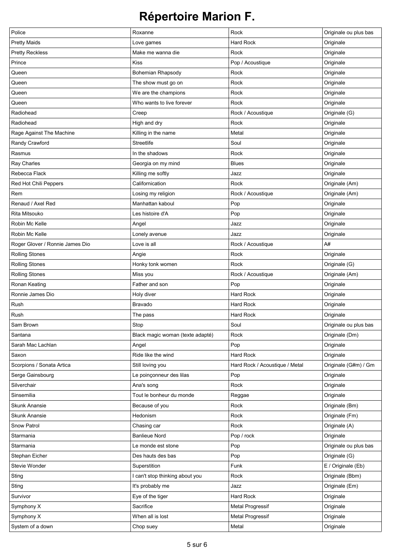| Police                          | Roxanne                          | Rock                           | Originale ou plus bas |
|---------------------------------|----------------------------------|--------------------------------|-----------------------|
| <b>Pretty Maids</b>             | Love games                       | <b>Hard Rock</b>               | Originale             |
| <b>Pretty Reckless</b>          | Make me wanna die                | Rock                           | Originale             |
| Prince                          | <b>Kiss</b>                      | Pop / Acoustique               | Originale             |
| Queen                           | <b>Bohemian Rhapsody</b>         | Rock                           | Originale             |
| Queen                           | The show must go on              | Rock                           | Originale             |
| Queen                           | We are the champions             | Rock                           | Originale             |
| Queen                           | Who wants to live forever        | Rock                           | Originale             |
| Radiohead                       | Creep                            | Rock / Acoustique              | Originale (G)         |
| Radiohead                       | High and dry                     | Rock                           | Originale             |
| Rage Against The Machine        | Killing in the name              | Metal                          | Originale             |
| Randy Crawford                  | Streetlife                       | Soul                           | Originale             |
| Rasmus                          | In the shadows                   | Rock                           | Originale             |
| Ray Charles                     | Georgia on my mind               | <b>Blues</b>                   | Originale             |
| Rebecca Flack                   | Killing me softly                | Jazz                           | Originale             |
| Red Hot Chili Peppers           | Californication                  | Rock                           | Originale (Am)        |
| Rem                             | Losing my religion               | Rock / Acoustique              | Originale (Am)        |
| Renaud / Axel Red               | Manhattan kaboul                 | Pop                            | Originale             |
| Rita Mitsouko                   | Les histoire d'A                 | Pop                            | Originale             |
| Robin Mc Kelle                  | Angel                            | Jazz                           | Originale             |
| Robin Mc Kelle                  | Lonely avenue                    | Jazz                           | Originale             |
| Roger Glover / Ronnie James Dio | Love is all                      | Rock / Acoustique              | A#                    |
| <b>Rolling Stones</b>           | Angie                            | Rock                           | Originale             |
| <b>Rolling Stones</b>           | Honky tonk women                 | Rock                           | Originale (G)         |
| <b>Rolling Stones</b>           | Miss you                         | Rock / Acoustique              | Originale (Am)        |
| Ronan Keating                   | Father and son                   | Pop                            | Originale             |
| Ronnie James Dio                | Holy diver                       | <b>Hard Rock</b>               | Originale             |
| Rush                            | <b>Bravado</b>                   | <b>Hard Rock</b>               | Originale             |
| Rush                            | The pass                         | <b>Hard Rock</b>               | Originale             |
| Sam Brown                       | Stop                             | Soul                           | Originale ou plus bas |
| Santana                         | Black magic woman (texte adapté) | Rock                           | Originale (Dm)        |
| Sarah Mac Lachlan               | Angel                            | Pop                            | Originale             |
| Saxon                           | Ride like the wind               | <b>Hard Rock</b>               | Originale             |
| Scorpions / Sonata Artica       | Still loving you                 | Hard Rock / Acoustique / Metal | Originale (G#m) / Gm  |
| Serge Gainsbourg                | Le poinçonneur des lilas         | Pop                            | Originale             |
| Silverchair                     | Ana's song                       | Rock                           | Originale             |
| Sinsemilia                      | Tout le bonheur du monde         | Reggae                         | Originale             |
| <b>Skunk Anansie</b>            | Because of you                   | Rock                           | Originale (Bm)        |
| <b>Skunk Anansie</b>            | Hedonism                         | Rock                           | Originale (Fm)        |
| <b>Snow Patrol</b>              | Chasing car                      | Rock                           | Originale (A)         |
| Starmania                       | <b>Banlieue Nord</b>             | Pop / rock                     | Originale             |
| Starmania                       | Le monde est stone               | Pop                            | Originale ou plus bas |
| Stephan Eicher                  | Des hauts des bas                | Pop                            | Originale (G)         |
| Stevie Wonder                   | Superstition                     | Funk                           | E / Originale (Eb)    |
| Sting                           | I can't stop thinking about you  | Rock                           | Originale (Bbm)       |
| Sting                           | It's probably me                 | Jazz                           | Originale (Em)        |
| Survivor                        | Eye of the tiger                 | Hard Rock                      | Originale             |
| Symphony X                      | Sacrifice                        | <b>Metal Progressif</b>        | Originale             |
| Symphony X                      | When all is lost                 | <b>Metal Progressif</b>        | Originale             |
| System of a down                | Chop suey                        | Metal                          | Originale             |
|                                 |                                  |                                |                       |